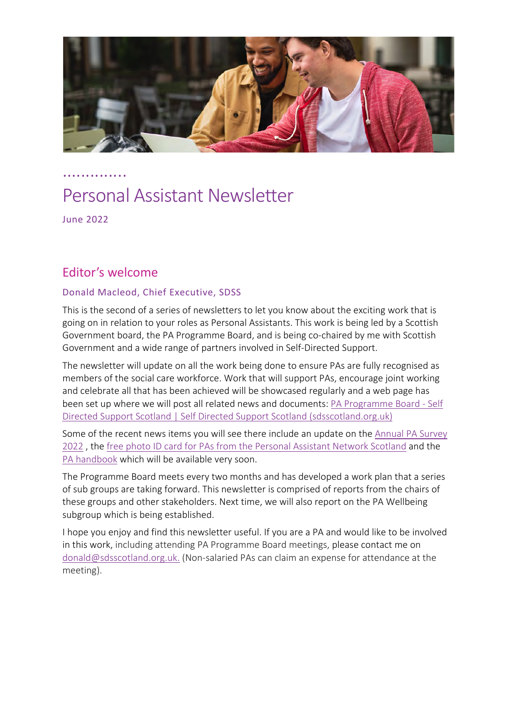

…...........

# Personal Assistant Newsletter

June 2022

# Editor's welcome

#### Donald Macleod, Chief Executive, SDSS

This is the second of a series of newsletters to let you know about the exciting work that is going on in relation to your roles as Personal Assistants. This work is being led by a Scottish Government board, the PA Programme Board, and is being co-chaired by me with Scottish Government and a wide range of partners involved in Self-Directed Support.

The newsletter will update on all the work being done to ensure PAs are fully recognised as members of the social care workforce. Work that will support PAs, encourage joint working and celebrate all that has been achieved will be showcased regularly and a web page has been set up where we will post all related news and documents: PA Programme Board - Self Directed Support Scotland | Self Directed Support Scotland (sdsscotland.org.uk)

Some of the recent news items you will see there include an update on the Annual PA Survey 2022 , the free photo ID card for PAs from the Personal Assistant Network Scotland and the PA handbook which will be available very soon.

The Programme Board meets every two months and has developed a work plan that a series of sub groups are taking forward. This newsletter is comprised of reports from the chairs of these groups and other stakeholders. Next time, we will also report on the PA Wellbeing subgroup which is being established.

I hope you enjoy and find this newsletter useful. If you are a PA and would like to be involved in this work, including attending PA Programme Board meetings, please contact me on donald@sdsscotland.org.uk. (Non-salaried PAs can claim an expense for attendance at the meeting).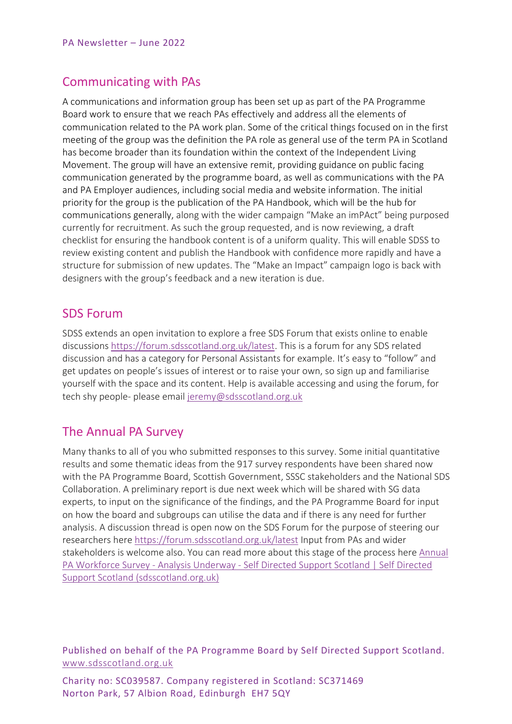# Communicating with PAs

A communications and information group has been set up as part of the PA Programme Board work to ensure that we reach PAs effectively and address all the elements of communication related to the PA work plan. Some of the critical things focused on in the first meeting of the group was the definition the PA role as general use of the term PA in Scotland has become broader than its foundation within the context of the Independent Living Movement. The group will have an extensive remit, providing guidance on public facing communication generated by the programme board, as well as communications with the PA and PA Employer audiences, including social media and website information. The initial priority for the group is the publication of the PA Handbook, which will be the hub for communications generally, along with the wider campaign "Make an imPAct" being purposed currently for recruitment. As such the group requested, and is now reviewing, a draft checklist for ensuring the handbook content is of a uniform quality. This will enable SDSS to review existing content and publish the Handbook with confidence more rapidly and have a structure for submission of new updates. The "Make an Impact" campaign logo is back with designers with the group's feedback and a new iteration is due.

## SDS Forum

SDSS extends an open invitation to explore a free SDS Forum that exists online to enable discussions https://forum.sdsscotland.org.uk/latest. This is a forum for any SDS related discussion and has a category for Personal Assistants for example. It's easy to "follow" and get updates on people's issues of interest or to raise your own, so sign up and familiarise yourself with the space and its content. Help is available accessing and using the forum, for tech shy people- please email jeremy@sdsscotland.org.uk

# The Annual PA Survey

Many thanks to all of you who submitted responses to this survey. Some initial quantitative results and some thematic ideas from the 917 survey respondents have been shared now with the PA Programme Board, Scottish Government, SSSC stakeholders and the National SDS Collaboration. A preliminary report is due next week which will be shared with SG data experts, to input on the significance of the findings, and the PA Programme Board for input on how the board and subgroups can utilise the data and if there is any need for further analysis. A discussion thread is open now on the SDS Forum for the purpose of steering our researchers here https://forum.sdsscotland.org.uk/latest Input from PAs and wider stakeholders is welcome also. You can read more about this stage of the process here Annual PA Workforce Survey - Analysis Underway - Self Directed Support Scotland | Self Directed Support Scotland (sdsscotland.org.uk)

Published on behalf of the PA Programme Board by Self Directed Support Scotland. www.sdsscotland.org.uk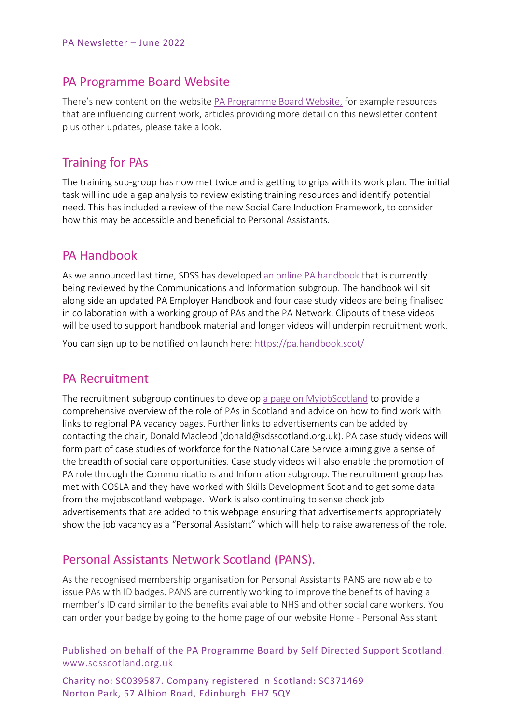#### PA Programme Board Website

There's new content on the website PA Programme Board Website, for example resources that are influencing current work, articles providing more detail on this newsletter content plus other updates, please take a look.

## Training for PAs

The training sub-group has now met twice and is getting to grips with its work plan. The initial task will include a gap analysis to review existing training resources and identify potential need. This has included a review of the new Social Care Induction Framework, to consider how this may be accessible and beneficial to Personal Assistants.

#### PA Handbook

As we announced last time, SDSS has developed an online PA handbook that is currently being reviewed by the Communications and Information subgroup. The handbook will sit along side an updated PA Employer Handbook and four case study videos are being finalised in collaboration with a working group of PAs and the PA Network. Clipouts of these videos will be used to support handbook material and longer videos will underpin recruitment work.

You can sign up to be notified on launch here: https://pa.handbook.scot/

#### PA Recruitment

The recruitment subgroup continues to develop a page on MyjobScotland to provide a comprehensive overview of the role of PAs in Scotland and advice on how to find work with links to regional PA vacancy pages. Further links to advertisements can be added by contacting the chair, Donald Macleod (donald@sdsscotland.org.uk). PA case study videos will form part of case studies of workforce for the National Care Service aiming give a sense of the breadth of social care opportunities. Case study videos will also enable the promotion of PA role through the Communications and Information subgroup. The recruitment group has met with COSLA and they have worked with Skills Development Scotland to get some data from the myjobscotland webpage. Work is also continuing to sense check job advertisements that are added to this webpage ensuring that advertisements appropriately show the job vacancy as a "Personal Assistant" which will help to raise awareness of the role.

#### Personal Assistants Network Scotland (PANS).

As the recognised membership organisation for Personal Assistants PANS are now able to issue PAs with ID badges. PANS are currently working to improve the benefits of having a member's ID card similar to the benefits available to NHS and other social care workers. You can order your badge by going to the home page of our website Home - Personal Assistant

Published on behalf of the PA Programme Board by Self Directed Support Scotland. www.sdsscotland.org.uk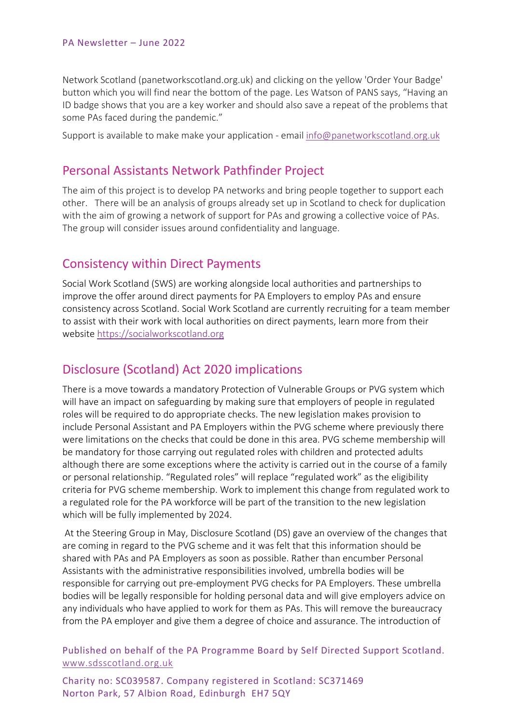Network Scotland (panetworkscotland.org.uk) and clicking on the yellow 'Order Your Badge' button which you will find near the bottom of the page. Les Watson of PANS says, "Having an ID badge shows that you are a key worker and should also save a repeat of the problems that some PAs faced during the pandemic."

Support is available to make make your application - email info@panetworkscotland.org.uk

## Personal Assistants Network Pathfinder Project

The aim of this project is to develop PA networks and bring people together to support each other. There will be an analysis of groups already set up in Scotland to check for duplication with the aim of growing a network of support for PAs and growing a collective voice of PAs. The group will consider issues around confidentiality and language.

#### Consistency within Direct Payments

Social Work Scotland (SWS) are working alongside local authorities and partnerships to improve the offer around direct payments for PA Employers to employ PAs and ensure consistency across Scotland. Social Work Scotland are currently recruiting for a team member to assist with their work with local authorities on direct payments, learn more from their website https://socialworkscotland.org

# Disclosure (Scotland) Act 2020 implications

There is a move towards a mandatory Protection of Vulnerable Groups or PVG system which will have an impact on safeguarding by making sure that employers of people in regulated roles will be required to do appropriate checks. The new legislation makes provision to include Personal Assistant and PA Employers within the PVG scheme where previously there were limitations on the checks that could be done in this area. PVG scheme membership will be mandatory for those carrying out regulated roles with children and protected adults although there are some exceptions where the activity is carried out in the course of a family or personal relationship. "Regulated roles" will replace "regulated work" as the eligibility criteria for PVG scheme membership. Work to implement this change from regulated work to a regulated role for the PA workforce will be part of the transition to the new legislation which will be fully implemented by 2024.

At the Steering Group in May, Disclosure Scotland (DS) gave an overview of the changes that are coming in regard to the PVG scheme and it was felt that this information should be shared with PAs and PA Employers as soon as possible. Rather than encumber Personal Assistants with the administrative responsibilities involved, umbrella bodies will be responsible for carrying out pre-employment PVG checks for PA Employers. These umbrella bodies will be legally responsible for holding personal data and will give employers advice on any individuals who have applied to work for them as PAs. This will remove the bureaucracy from the PA employer and give them a degree of choice and assurance. The introduction of

Published on behalf of the PA Programme Board by Self Directed Support Scotland. www.sdsscotland.org.uk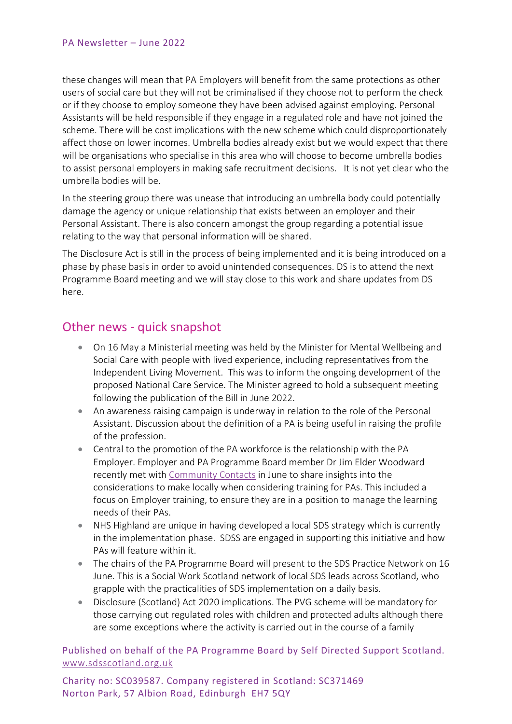these changes will mean that PA Employers will benefit from the same protections as other users of social care but they will not be criminalised if they choose not to perform the check or if they choose to employ someone they have been advised against employing. Personal Assistants will be held responsible if they engage in a regulated role and have not joined the scheme. There will be cost implications with the new scheme which could disproportionately affect those on lower incomes. Umbrella bodies already exist but we would expect that there will be organisations who specialise in this area who will choose to become umbrella bodies to assist personal employers in making safe recruitment decisions. It is not yet clear who the umbrella bodies will be.

In the steering group there was unease that introducing an umbrella body could potentially damage the agency or unique relationship that exists between an employer and their Personal Assistant. There is also concern amongst the group regarding a potential issue relating to the way that personal information will be shared.

The Disclosure Act is still in the process of being implemented and it is being introduced on a phase by phase basis in order to avoid unintended consequences. DS is to attend the next Programme Board meeting and we will stay close to this work and share updates from DS here.

## Other news - quick snapshot

- On 16 May a Ministerial meeting was held by the Minister for Mental Wellbeing and Social Care with people with lived experience, including representatives from the Independent Living Movement. This was to inform the ongoing development of the proposed National Care Service. The Minister agreed to hold a subsequent meeting following the publication of the Bill in June 2022.
- An awareness raising campaign is underway in relation to the role of the Personal Assistant. Discussion about the definition of a PA is being useful in raising the profile of the profession.
- Central to the promotion of the PA workforce is the relationship with the PA Employer. Employer and PA Programme Board member Dr Jim Elder Woodward recently met with Community Contacts in June to share insights into the considerations to make locally when considering training for PAs. This included a focus on Employer training, to ensure they are in a position to manage the learning needs of their PAs.
- NHS Highland are unique in having developed a local SDS strategy which is currently in the implementation phase. SDSS are engaged in supporting this initiative and how PAs will feature within it.
- The chairs of the PA Programme Board will present to the SDS Practice Network on 16 June. This is a Social Work Scotland network of local SDS leads across Scotland, who grapple with the practicalities of SDS implementation on a daily basis.
- Disclosure (Scotland) Act 2020 implications. The PVG scheme will be mandatory for those carrying out regulated roles with children and protected adults although there are some exceptions where the activity is carried out in the course of a family

Published on behalf of the PA Programme Board by Self Directed Support Scotland. www.sdsscotland.org.uk